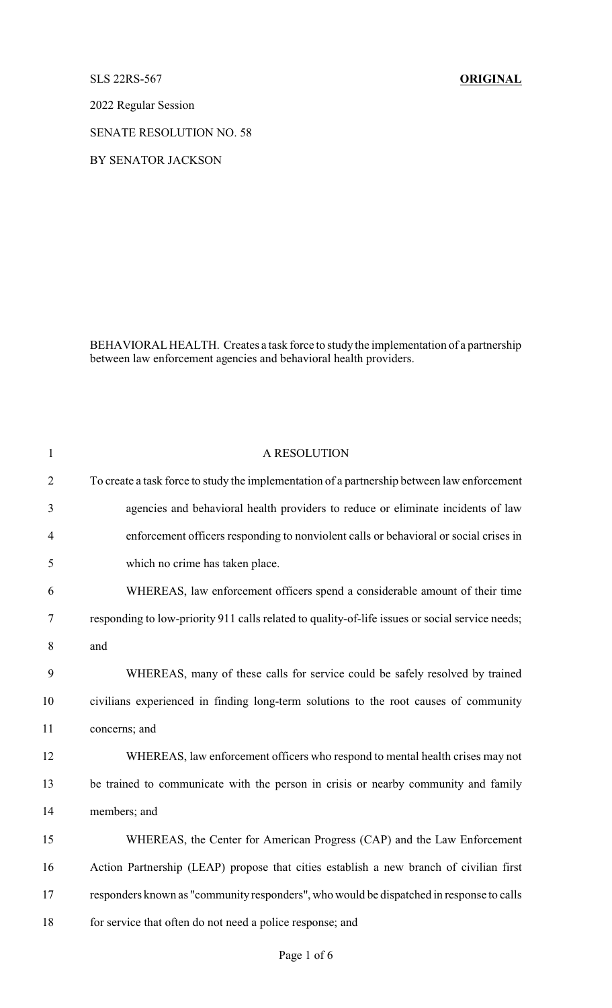SLS 22RS-567 **ORIGINAL**

2022 Regular Session

SENATE RESOLUTION NO. 58

BY SENATOR JACKSON

BEHAVIORALHEALTH. Creates a task force to study the implementation of a partnership between law enforcement agencies and behavioral health providers.

| $\mathbf{1}$   | A RESOLUTION                                                                                    |
|----------------|-------------------------------------------------------------------------------------------------|
| $\overline{2}$ | To create a task force to study the implementation of a partnership between law enforcement     |
| 3              | agencies and behavioral health providers to reduce or eliminate incidents of law                |
| $\overline{4}$ | enforcement officers responding to nonviolent calls or behavioral or social crises in           |
| 5              | which no crime has taken place.                                                                 |
| 6              | WHEREAS, law enforcement officers spend a considerable amount of their time                     |
| 7              | responding to low-priority 911 calls related to quality-of-life issues or social service needs; |
| 8              | and                                                                                             |
| 9              | WHEREAS, many of these calls for service could be safely resolved by trained                    |
| 10             | civilians experienced in finding long-term solutions to the root causes of community            |
| 11             | concerns; and                                                                                   |
| 12             | WHEREAS, law enforcement officers who respond to mental health crises may not                   |
| 13             | be trained to communicate with the person in crisis or nearby community and family              |
| 14             | members; and                                                                                    |
| 15             | WHEREAS, the Center for American Progress (CAP) and the Law Enforcement                         |
| 16             | Action Partnership (LEAP) propose that cities establish a new branch of civilian first          |
| 17             | responders known as "community responders", who would be dispatched in response to calls        |
| 18             | for service that often do not need a police response; and                                       |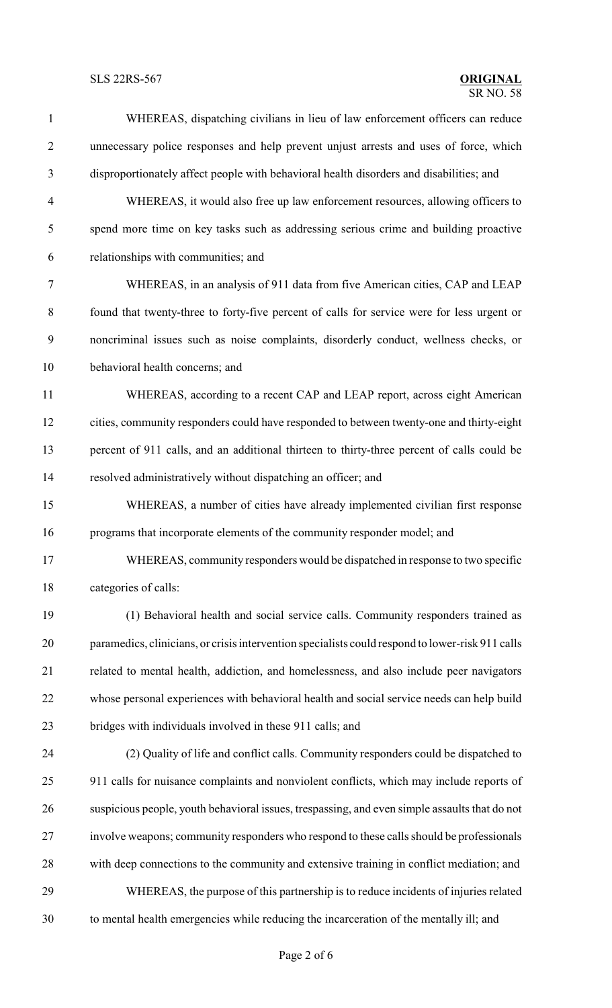## **SLS 22RS-567**

| $\mathbf{1}$   | WHEREAS, dispatching civilians in lieu of law enforcement officers can reduce                    |
|----------------|--------------------------------------------------------------------------------------------------|
| $\overline{2}$ | unnecessary police responses and help prevent unjust arrests and uses of force, which            |
| 3              | disproportionately affect people with behavioral health disorders and disabilities; and          |
| $\overline{4}$ | WHEREAS, it would also free up law enforcement resources, allowing officers to                   |
| 5              | spend more time on key tasks such as addressing serious crime and building proactive             |
| 6              | relationships with communities; and                                                              |
| $\tau$         | WHEREAS, in an analysis of 911 data from five American cities, CAP and LEAP                      |
| 8              | found that twenty-three to forty-five percent of calls for service were for less urgent or       |
| 9              | noncriminal issues such as noise complaints, disorderly conduct, wellness checks, or             |
| 10             | behavioral health concerns; and                                                                  |
| 11             | WHEREAS, according to a recent CAP and LEAP report, across eight American                        |
| 12             | cities, community responders could have responded to between twenty-one and thirty-eight         |
| 13             | percent of 911 calls, and an additional thirteen to thirty-three percent of calls could be       |
| 14             | resolved administratively without dispatching an officer; and                                    |
| 15             | WHEREAS, a number of cities have already implemented civilian first response                     |
| 16             | programs that incorporate elements of the community responder model; and                         |
| 17             | WHEREAS, community responders would be dispatched in response to two specific                    |
| 18             | categories of calls:                                                                             |
| 19             | (1) Behavioral health and social service calls. Community responders trained as                  |
| 20             | paramedics, clinicians, or crisis intervention specialists could respond to lower-risk 911 calls |
| 21             | related to mental health, addiction, and homelessness, and also include peer navigators          |
| 22             | whose personal experiences with behavioral health and social service needs can help build        |
| 23             | bridges with individuals involved in these 911 calls; and                                        |
| 24             | (2) Quality of life and conflict calls. Community responders could be dispatched to              |
| 25             | 911 calls for nuisance complaints and nonviolent conflicts, which may include reports of         |
| 26             | suspicious people, youth behavioral issues, trespassing, and even simple assaults that do not    |
| 27             | involve weapons; community responders who respond to these calls should be professionals         |
| 28             | with deep connections to the community and extensive training in conflict mediation; and         |
| 29             | WHEREAS, the purpose of this partnership is to reduce incidents of injuries related              |
| 30             | to mental health emergencies while reducing the incarceration of the mentally ill; and           |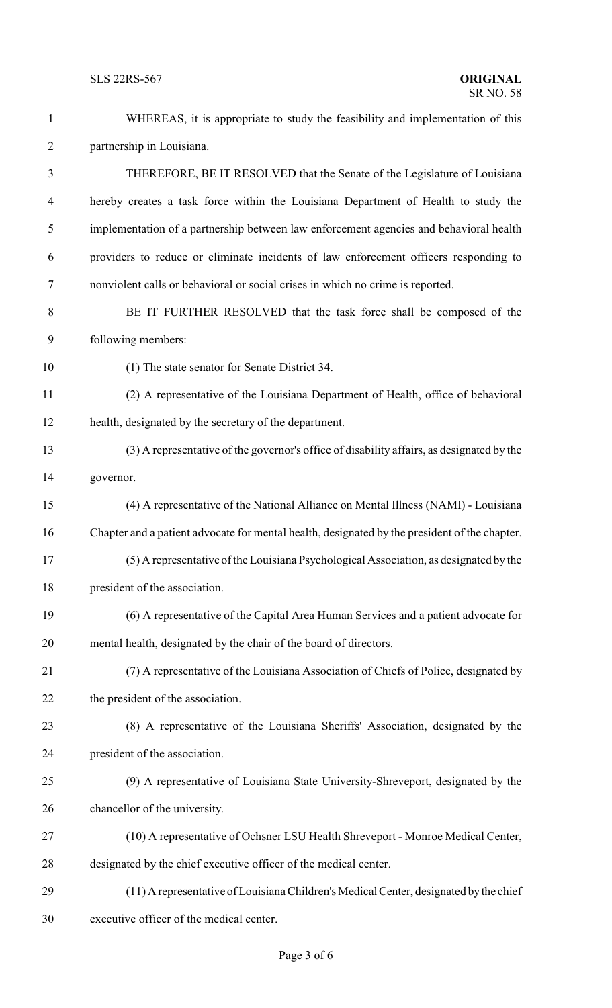| $\mathbf{1}$   | WHEREAS, it is appropriate to study the feasibility and implementation of this                |  |  |
|----------------|-----------------------------------------------------------------------------------------------|--|--|
| $\overline{2}$ | partnership in Louisiana.                                                                     |  |  |
| $\mathfrak{Z}$ | THEREFORE, BE IT RESOLVED that the Senate of the Legislature of Louisiana                     |  |  |
| 4              | hereby creates a task force within the Louisiana Department of Health to study the            |  |  |
| 5              | implementation of a partnership between law enforcement agencies and behavioral health        |  |  |
| 6              | providers to reduce or eliminate incidents of law enforcement officers responding to          |  |  |
| $\tau$         | nonviolent calls or behavioral or social crises in which no crime is reported.                |  |  |
| $8\,$          | BE IT FURTHER RESOLVED that the task force shall be composed of the                           |  |  |
| 9              | following members:                                                                            |  |  |
| 10             | (1) The state senator for Senate District 34.                                                 |  |  |
| 11             | (2) A representative of the Louisiana Department of Health, office of behavioral              |  |  |
| 12             | health, designated by the secretary of the department.                                        |  |  |
| 13             | (3) A representative of the governor's office of disability affairs, as designated by the     |  |  |
| 14             | governor.                                                                                     |  |  |
| 15             | (4) A representative of the National Alliance on Mental Illness (NAMI) - Louisiana            |  |  |
| 16             | Chapter and a patient advocate for mental health, designated by the president of the chapter. |  |  |
| 17             | (5) A representative of the Louisiana Psychological Association, as designated by the         |  |  |
| 18             | president of the association.                                                                 |  |  |
| 19             | (6) A representative of the Capital Area Human Services and a patient advocate for            |  |  |
| 20             | mental health, designated by the chair of the board of directors.                             |  |  |
| 21             | (7) A representative of the Louisiana Association of Chiefs of Police, designated by          |  |  |
| 22             | the president of the association.                                                             |  |  |
| 23             | (8) A representative of the Louisiana Sheriffs' Association, designated by the                |  |  |
| 24             | president of the association.                                                                 |  |  |
| 25             | (9) A representative of Louisiana State University-Shreveport, designated by the              |  |  |
| 26             | chancellor of the university.                                                                 |  |  |
| 27             | (10) A representative of Ochsner LSU Health Shreveport - Monroe Medical Center,               |  |  |
| 28             | designated by the chief executive officer of the medical center.                              |  |  |
| 29             | (11) A representative of Louisiana Children's Medical Center, designated by the chief         |  |  |
| 30             | executive officer of the medical center.                                                      |  |  |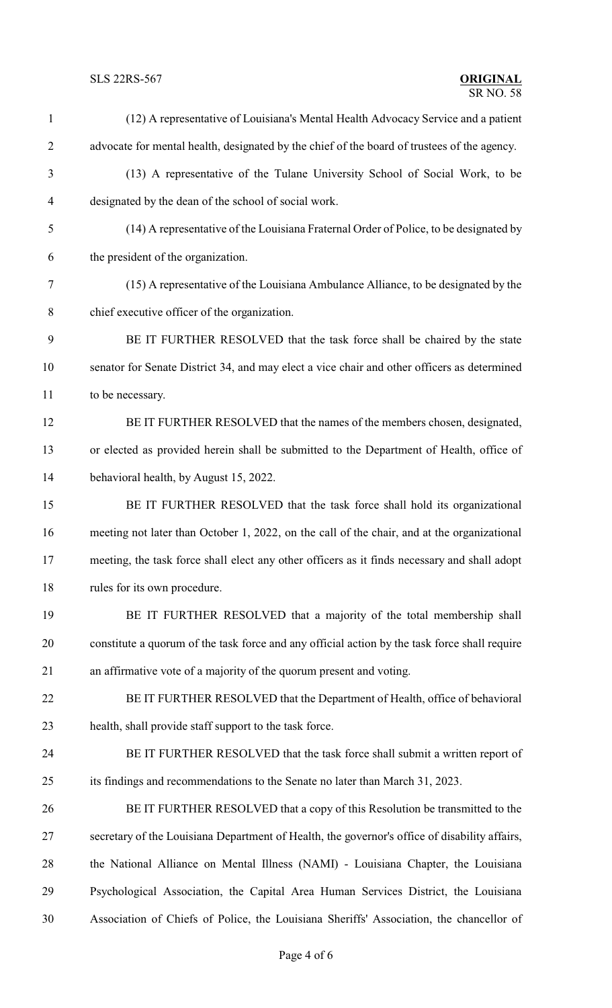## **SLS 22RS-567**

## **ORIGINAL**<br>SR NO. 58

| $\mathbf{1}$   | (12) A representative of Louisiana's Mental Health Advocacy Service and a patient             |
|----------------|-----------------------------------------------------------------------------------------------|
| $\overline{2}$ | advocate for mental health, designated by the chief of the board of trustees of the agency.   |
| 3              | (13) A representative of the Tulane University School of Social Work, to be                   |
| $\overline{4}$ | designated by the dean of the school of social work.                                          |
| 5              | (14) A representative of the Louisiana Fraternal Order of Police, to be designated by         |
| 6              | the president of the organization.                                                            |
| $\tau$         | (15) A representative of the Louisiana Ambulance Alliance, to be designated by the            |
| $8\,$          | chief executive officer of the organization.                                                  |
| 9              | BE IT FURTHER RESOLVED that the task force shall be chaired by the state                      |
| 10             | senator for Senate District 34, and may elect a vice chair and other officers as determined   |
| 11             | to be necessary.                                                                              |
| 12             | BE IT FURTHER RESOLVED that the names of the members chosen, designated,                      |
| 13             | or elected as provided herein shall be submitted to the Department of Health, office of       |
| 14             | behavioral health, by August 15, 2022.                                                        |
| 15             | BE IT FURTHER RESOLVED that the task force shall hold its organizational                      |
| 16             | meeting not later than October 1, 2022, on the call of the chair, and at the organizational   |
| 17             | meeting, the task force shall elect any other officers as it finds necessary and shall adopt  |
| 18             | rules for its own procedure.                                                                  |
| 19             | BE IT FURTHER RESOLVED that a majority of the total membership shall                          |
| 20             | constitute a quorum of the task force and any official action by the task force shall require |
| 21             | an affirmative vote of a majority of the quorum present and voting.                           |
| 22             | BE IT FURTHER RESOLVED that the Department of Health, office of behavioral                    |
| 23             | health, shall provide staff support to the task force.                                        |
| 24             | BE IT FURTHER RESOLVED that the task force shall submit a written report of                   |
| 25             | its findings and recommendations to the Senate no later than March 31, 2023.                  |
| 26             | BE IT FURTHER RESOLVED that a copy of this Resolution be transmitted to the                   |
| 27             | secretary of the Louisiana Department of Health, the governor's office of disability affairs, |
| 28             | the National Alliance on Mental Illness (NAMI) - Louisiana Chapter, the Louisiana             |
| 29             | Psychological Association, the Capital Area Human Services District, the Louisiana            |
| 30             | Association of Chiefs of Police, the Louisiana Sheriffs' Association, the chancellor of       |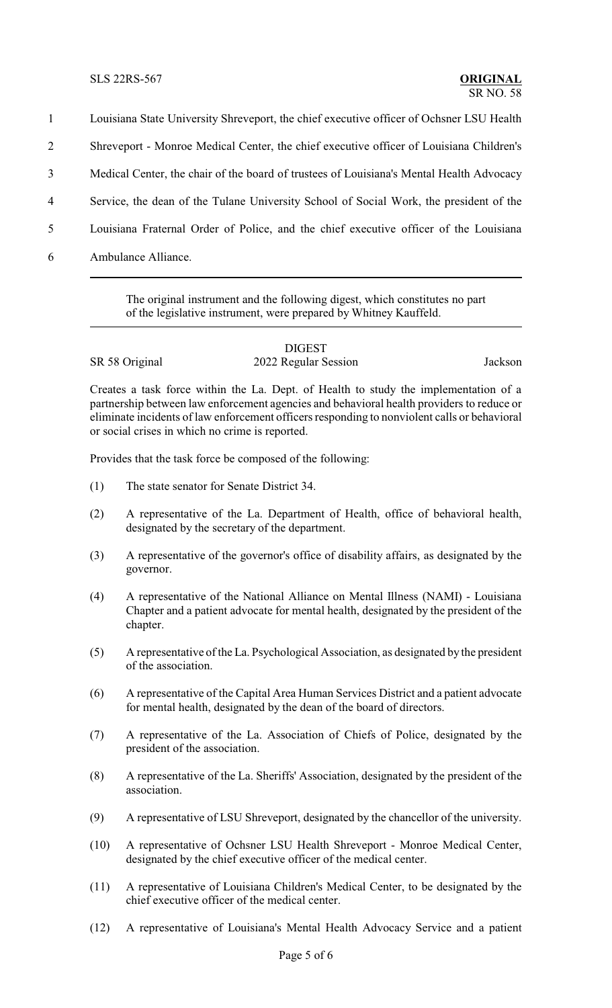Louisiana State University Shreveport, the chief executive officer of Ochsner LSU Health Shreveport - Monroe Medical Center, the chief executive officer of Louisiana Children's Medical Center, the chair of the board of trustees of Louisiana's Mental Health Advocacy Service, the dean of the Tulane University School of Social Work, the president of the Louisiana Fraternal Order of Police, and the chief executive officer of the Louisiana Ambulance Alliance.

> The original instrument and the following digest, which constitutes no part of the legislative instrument, were prepared by Whitney Kauffeld.

|                | <b>DIGEST</b>        |         |
|----------------|----------------------|---------|
| SR 58 Original | 2022 Regular Session | Jackson |

Creates a task force within the La. Dept. of Health to study the implementation of a partnership between law enforcement agencies and behavioral health providers to reduce or eliminate incidents of law enforcement officers responding to nonviolent calls or behavioral or social crises in which no crime is reported.

Provides that the task force be composed of the following:

- (1) The state senator for Senate District 34.
- (2) A representative of the La. Department of Health, office of behavioral health, designated by the secretary of the department.
- (3) A representative of the governor's office of disability affairs, as designated by the governor.
- (4) A representative of the National Alliance on Mental Illness (NAMI) Louisiana Chapter and a patient advocate for mental health, designated by the president of the chapter.
- (5) A representative of the La. Psychological Association, as designated by the president of the association.
- (6) A representative of the Capital Area Human Services District and a patient advocate for mental health, designated by the dean of the board of directors.
- (7) A representative of the La. Association of Chiefs of Police, designated by the president of the association.
- (8) A representative of the La. Sheriffs' Association, designated by the president of the association.
- (9) A representative of LSU Shreveport, designated by the chancellor of the university.
- (10) A representative of Ochsner LSU Health Shreveport Monroe Medical Center, designated by the chief executive officer of the medical center.
- (11) A representative of Louisiana Children's Medical Center, to be designated by the chief executive officer of the medical center.
- (12) A representative of Louisiana's Mental Health Advocacy Service and a patient